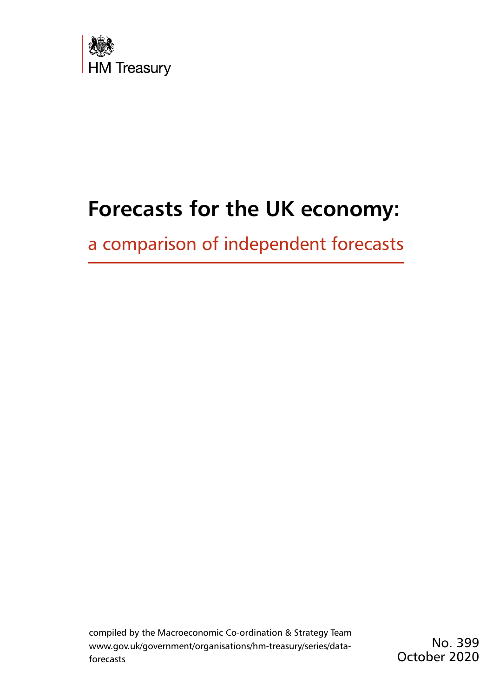

# **Forecasts for the UK economy:**

a comparison of independent forecasts

compiled by the Macroeconomic Co-ordination & Strategy Team [www.gov.uk/government/organisations/hm-treasury/series/data](www.gov.uk/government/organisations/hm-treasury/series/data-forecasts)[forecasts](www.gov.uk/government/organisations/hm-treasury/series/data-forecasts)

No. 399 October 2020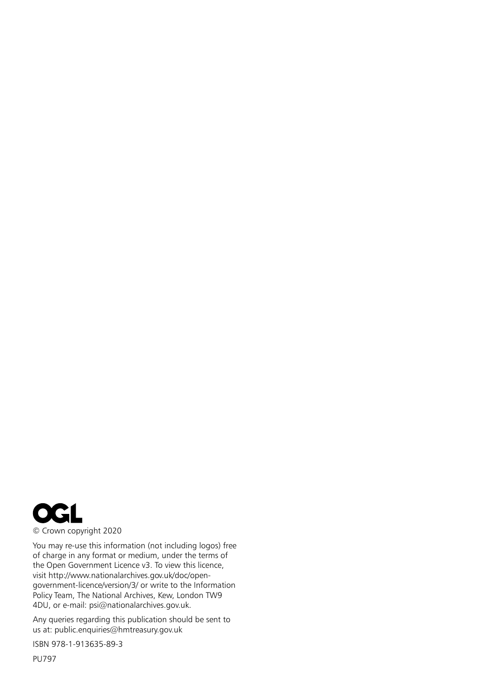

You may re-use this information (not including logos) free of charge in any format or medium, under the terms of the Open Government Licence v3. To view this licence, visit [http://www.nationalarchives.gov.uk/doc/open](http://www.nationalarchives.gov.uk/doc/open-government-licence/)[government-licence/v](http://www.nationalarchives.gov.uk/doc/open-government-licence/)ersion/3/ or write to the Information Policy Team, The National Archives, Kew, London TW9 4DU, or e-mail: [psi@nationalarchives.gov.uk](mailto:psi%40nationalarchives.gsi.gov.uk?subject=).

Any queries regarding this publication should be sent to us at: [public.enquiries@hmtreasury.gov.uk](mailto:public.enquiries%40hm-treasury.gov.uk?subject=)

ISBN 978-1-913635-89-3

PU797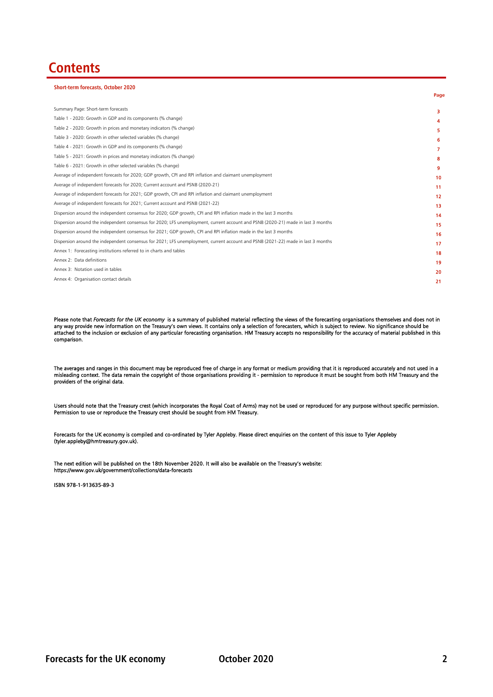## **Contents**

**Short-term forecasts, October 2020**

| SHOIT-term forecasts, October 2020                                                                                               |                  |
|----------------------------------------------------------------------------------------------------------------------------------|------------------|
|                                                                                                                                  | Page             |
| Summary Page: Short-term forecasts                                                                                               | з                |
| Table 1 - 2020: Growth in GDP and its components (% change)                                                                      | 4                |
| Table 2 - 2020: Growth in prices and monetary indicators (% change)                                                              | 5                |
| Table 3 - 2020: Growth in other selected variables (% change)                                                                    | 6                |
| Table 4 - 2021: Growth in GDP and its components (% change)                                                                      | 7                |
| Table 5 - 2021: Growth in prices and monetary indicators (% change)                                                              | 8                |
| Table 6 - 2021: Growth in other selected variables (% change)                                                                    | 9                |
| Average of independent forecasts for 2020; GDP growth, CPI and RPI inflation and claimant unemployment                           | 10 <sup>10</sup> |
| Average of independent forecasts for 2020; Current account and PSNB (2020-21)                                                    | 11               |
| Average of independent forecasts for 2021; GDP growth, CPI and RPI inflation and claimant unemployment                           | 12               |
| Average of independent forecasts for 2021; Current account and PSNB (2021-22)                                                    | 13               |
| Dispersion around the independent consensus for 2020; GDP growth, CPI and RPI inflation made in the last 3 months                | 14               |
| Dispersion around the independent consensus for 2020; LFS unemployment, current account and PSNB (2020-21) made in last 3 months | 15               |
| Dispersion around the independent consensus for 2021; GDP growth, CPI and RPI inflation made in the last 3 months                | 16               |
| Dispersion around the independent consensus for 2021; LFS unemployment, current account and PSNB (2021-22) made in last 3 months | 17               |
| Annex 1: Forecasting institutions referred to in charts and tables                                                               | 18               |
| Annex 2: Data definitions                                                                                                        | 19               |
| Annex 3: Notation used in tables                                                                                                 | 20               |
| Annex 4: Organisation contact details                                                                                            | 21               |
|                                                                                                                                  |                  |

Please note that *Forecasts for the UK economy* is a summary of published material reflecting the views of the forecasting organisations themselves and does not in any way provide new information on the Treasury's own views. It contains only a selection of forecasters, which is subject to review. No significance should be attached to the inclusion or exclusion of any particular forecasting organisation. HM Treasury accepts no responsibility for the accuracy of material published in this comparison.

The averages and ranges in this document may be reproduced free of charge in any format or medium providing that it is reproduced accurately and not used in a misleading context. The data remain the copyright of those organisations providing it - permission to reproduce it must be sought from both HM Treasury and the providers of the original data.

Users should note that the Treasury crest (which incorporates the Royal Coat of Arms) may not be used or reproduced for any purpose without specific permission. Permission to use or reproduce the Treasury crest should be sought from HM Treasury.

Forecasts for the UK economy is compiled and co-ordinated by Tyler Appleby. Please direct enquiries on the content of this issue to Tyler Appleby (tyler.appleby@hmtreasury.gov.uk).

The next edition will be published on the 18th November 2020. It will also be available on the Treasury's website: https://www.gov.uk/government/collections/data-forecasts

ISBN 978-1-913635-89-3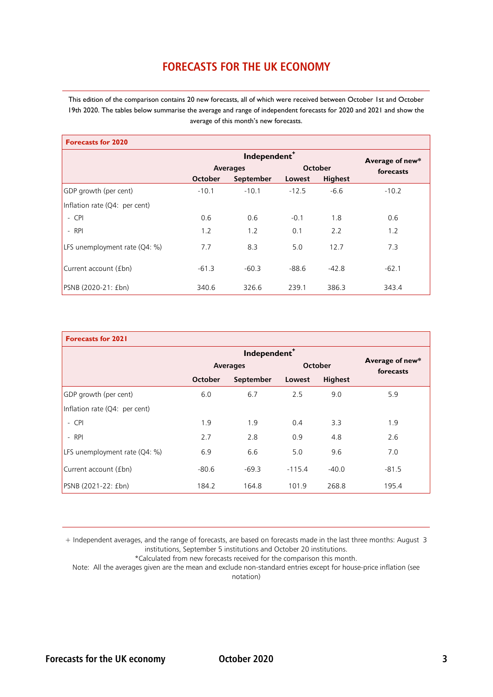### **FORECASTS FOR THE UK ECONOMY**

This edition of the comparison contains 20 new forecasts, all of which were received between October 1st and October 19th 2020. The tables below summarise the average and range of independent forecasts for 2020 and 2021 and show the average of this month's new forecasts.

| <b>Forecasts for 2020</b>       |         |                 |         |                |           |  |  |  |  |  |  |
|---------------------------------|---------|-----------------|---------|----------------|-----------|--|--|--|--|--|--|
|                                 |         | Average of new* |         |                |           |  |  |  |  |  |  |
|                                 |         | <b>Averages</b> |         | October        | forecasts |  |  |  |  |  |  |
|                                 | October | September       | Lowest  | <b>Highest</b> |           |  |  |  |  |  |  |
| GDP growth (per cent)           | $-10.1$ | $-10.1$         | $-12.5$ | $-6.6$         | $-10.2$   |  |  |  |  |  |  |
| Inflation rate $(Q4:$ per cent) |         |                 |         |                |           |  |  |  |  |  |  |
| $-$ CPI                         | 0.6     | 0.6             | $-0.1$  | 1.8            | 0.6       |  |  |  |  |  |  |
| $-$ RPI                         | 1.2     | 1.2             | 0.1     | 2.2            | 1.2       |  |  |  |  |  |  |
| LFS unemployment rate $(Q4: %)$ | 7.7     | 8.3             | 5.0     | 12.7           | 7.3       |  |  |  |  |  |  |
| Current account (£bn)           | $-61.3$ | $-60.3$         | $-88.6$ | $-42.8$        | $-62.1$   |  |  |  |  |  |  |
| PSNB (2020-21: £bn)             | 340.6   | 326.6           | 239.1   | 386.3          | 343.4     |  |  |  |  |  |  |

| <b>Forecasts for 2021</b>     |         |                          |          |                |                              |
|-------------------------------|---------|--------------------------|----------|----------------|------------------------------|
|                               |         | Independent <sup>+</sup> |          |                |                              |
|                               |         | <b>Averages</b>          |          | October        | Average of new*<br>forecasts |
|                               | October | September                | Lowest   | <b>Highest</b> |                              |
| GDP growth (per cent)         | 6.0     | 6.7                      | 2.5      | 9.0            | 5.9                          |
| Inflation rate (Q4: per cent) |         |                          |          |                |                              |
| $-$ CPI                       | 1.9     | 1.9                      | 0.4      | 3.3            | 1.9                          |
| $-$ RPI                       | 2.7     | 2.8                      | 0.9      | 4.8            | 2.6                          |
| LFS unemployment rate (Q4: %) | 6.9     | 6.6                      | 5.0      | 9.6            | 7.0                          |
| Current account (£bn)         | $-80.6$ | $-69.3$                  | $-115.4$ | $-40.0$        | $-81.5$                      |
| PSNB (2021-22: £bn)           | 184.2   | 164.8                    | 101.9    | 268.8          | 195.4                        |

+ Independent averages, and the range of forecasts, are based on forecasts made in the last three months: August 3 institutions, September 5 institutions and October 20 institutions.

\*Calculated from new forecasts received for the comparison this month.

Note: All the averages given are the mean and exclude non-standard entries except for house-price inflation (see notation)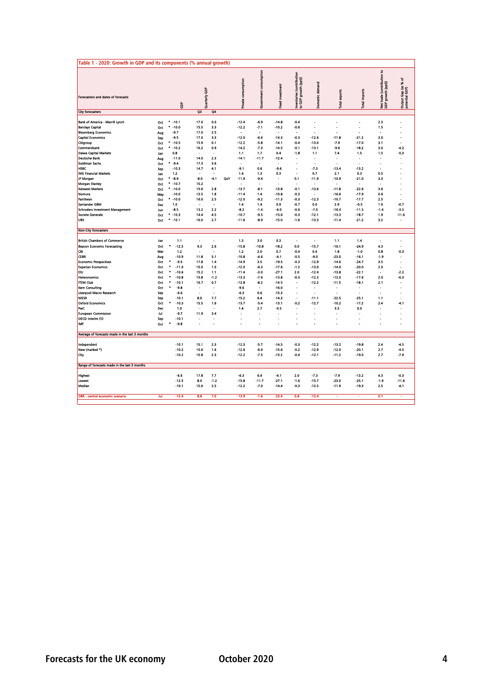| Table 1 - 2020: Growth in GDP and its components (% annual growth)                       |                   |                                  |                      |                   |     |                                      |                        |                                     |                                                   |                                     |                           |                      |                                                   |                                          |
|------------------------------------------------------------------------------------------|-------------------|----------------------------------|----------------------|-------------------|-----|--------------------------------------|------------------------|-------------------------------------|---------------------------------------------------|-------------------------------------|---------------------------|----------------------|---------------------------------------------------|------------------------------------------|
| Forecasters and dates of forecasts                                                       |                   | ĝ                                | Quarterly GDP        |                   |     | consumption<br><b>Private</b>        | Government consumption | <b>Fixed investment</b>             | Inventories (contribution<br>to GDP growth (ppt)) | Domestic demand                     | exports<br>Total          | <b>Total imports</b> | s<br>Net trade (contribution<br>GDP growth (ppt)) | ۴,<br>Output Gap (as %<br>potential GDP) |
| City forecasters                                                                         |                   |                                  | QЗ                   | Q4                |     |                                      |                        |                                     |                                                   |                                     |                           |                      |                                                   |                                          |
| Bank of America - Merrill Lynch<br><b>Barclays Capital</b><br><b>Bloomberg Economics</b> | Oct<br>Oct<br>Aug | $* -10.1$<br>$* -10.0$<br>$-9.7$ | 17.0<br>15.5<br>17.0 | 0.0<br>3.3<br>2.5 |     | $-12.4$<br>$-12.2$<br>$\overline{a}$ | $-6.9$<br>$-7.1$<br>÷. | $-14.8$<br>$-10.2$<br>÷.            | $-0.4$<br>$-0.6$<br>$\overline{a}$                | $\overline{a}$<br>٠<br>J.           | ÷.                        | r.                   | 2.3<br>1.5<br>$\overline{a}$                      | ×.                                       |
| <b>Capital Economics</b><br>Citigroup                                                    | Sep<br>Oct        | $-9.5$<br>$* -10.5$              | 17.0<br>15.9         | 3.3<br>0.1        |     | $-12.0$<br>$-12.2$                   | $-6.6$<br>$-5.8$       | $-14.3$<br>$-14.1$                  | $-0.3$<br>$-0.4$                                  | $-12.6$<br>$-13.0$                  | $-11.8$<br>$-7.9$         | $-21.2$<br>$-17.0$   | 3.0<br>3.1                                        |                                          |
| Commerzbank                                                                              | Oct               | $* -10.2$                        | 16.2                 | 0.9               |     | $-14.2$                              | $-7.3$                 | $-14.5$                             | $-0.1$                                            | $-13.1$                             | $-9.6$                    | $-18.2$              | 3.0                                               | $-4.2$                                   |
| Daiwa Capital Markets                                                                    | Jan               | 0.8                              | ż.                   | ×.                |     | 1.1                                  | 1.7                    | 0.4                                 | $-1.8$                                            | 1.1                                 | 7.4                       | 1.5                  | 1.5                                               | -0.3                                     |
| <b>Deutsche Bank</b><br>Goldman Sachs                                                    | Aug<br>Oct        | $-11.0$<br>$-9.4$                | 14.0<br>17.3         | 23<br>3.6         |     | $-14.1$                              | $-11.7$                | $-12.4$<br>$\overline{\phantom{a}}$ | $\overline{a}$                                    | ÷,<br>i.                            |                           | ÷,                   | $\overline{a}$                                    | ÷.                                       |
| <b>HSBC</b>                                                                              | Sep               | $-10.3$                          | 14.7                 | 4.1               |     | $-9.1$                               | 0.6                    | $-9.6$                              | $\blacksquare$                                    | $-7.3$                              | $-13.4$                   | -13.2                | $\blacksquare$                                    |                                          |
| <b>ING Financial Markets</b>                                                             | Jan               | $1.2$                            |                      |                   |     | 1.4                                  | 1.3                    | 0.3                                 | Ĭ.                                                | 0.7                                 | 2.1                       | 0.3                  | 0.5                                               |                                          |
| JP Morgan<br>Morgan Stanley                                                              | Oct<br>Oct        | $* -8.9$<br>$* -10.7$            | $-8.0$<br>15.2       | $-4.1$            | QoY | $-11.9$                              | $-9.4$                 | $\blacksquare$<br>ä,                | 0.1<br>٠                                          | $-11.9$<br>$\overline{\phantom{a}}$ | $-10.9$<br>$\blacksquare$ | $-21.0$              | 3.3<br>×                                          |                                          |
| <b>Natwest Markets</b>                                                                   | Oct               | $* -10.0$                        | 15.6                 | 2.8               |     | $-13.7$                              | $-8.1$                 | $-13.8$                             | $-0.1$                                            | -13.6                               | $-11.8$                   | -22.6                | 3.6                                               |                                          |
| Nomura                                                                                   | May               | $-10.0$                          | 13.5                 | 1.8               |     | $-11.4$                              | 1.4                    | $-10.8$                             | $-0.3$                                            | $\blacksquare$                      | $-16.6$                   | $-17.9$              | 0.6                                               | ä,                                       |
| Pantheon<br><b>Santander GBM</b>                                                         | Oct<br>Dec        | $* -10.0$<br>1.0                 | 16.0                 | 2.5               |     | $-12.0$<br>1.4                       | $-9.2$<br>1.4          | $-11.3$<br>0.9                      | $-0.3$<br>$-0.7$                                  | $-12.3$<br>0.0                      | $-10.7$<br>2.9            | $-17.7$<br>$-0.5$    | 2.5<br>1.0                                        | $\ddot{\phantom{1}}$<br>$-0.7$           |
| Schroders Investment Management                                                          | Jun               | -8.5                             | 13.2                 | 2.2               |     | -8.2                                 | -1.4                   | -6.0                                | $-0.6$                                            | $-7.0$                              | $-16.4$                   | $-11.5$              | $-1.4$                                            | $-3.5$                                   |
| Societe Generale                                                                         | Oct               | $* -10.3$                        | 14.4                 | 4.5               |     | $-10.7$                              | $-9.5$                 | $-15.6$                             | $-0.3$                                            | $-12.1$                             | $-13.3$                   | $-18.7$              | 1.9                                               | $-11.6$                                  |
| <b>UBS</b>                                                                               | Oct               | $* -10.1$                        | 16.0                 | 2.7               |     | $-11.6$                              | $-8.9$                 | $-15.0$                             | $-1.6$                                            | -13.3                               | $-11.4$                   | $-21.2$              | 3.2                                               | $\overline{\phantom{a}}$                 |
| <b>Non-City forecasters</b>                                                              |                   |                                  |                      |                   |     |                                      |                        |                                     |                                                   |                                     |                           |                      |                                                   |                                          |
| <b>British Chambers of Commerce</b>                                                      | Jan               | 1.1                              | ÷                    | ×.                |     | 1.3                                  | 3.0                    | 0.3                                 | ÷.                                                | $\overline{a}$                      | 1.1                       | 1.4                  | ÷                                                 | ×.                                       |
| <b>Beacon Economic Forecasting</b>                                                       | Oct               | $-12.5$                          | 9.3                  | 2.6               |     | $-15.8$                              | $-10.8$                | $-18.2$                             | 0.0                                               | $-15.7$                             | $-16.1$                   | $-24.9$              | 4.3                                               |                                          |
| Œ<br><b>CEBR</b>                                                                         | Mar               | 1.2                              |                      |                   |     | 1.2                                  | 2.0                    | 0.7                                 | $-0.4$                                            | 0.4                                 | 1.8                       | $-1.0$               | 0.8                                               | -0.3                                     |
| <b>Economic Perspectives</b>                                                             | Aug<br>Oct        | $-10.9$<br>$\bullet$<br>-9.5     | 11.8<br>17.8         | 5.1<br>1.4        |     | $-10.8$<br>$-14.9$                   | $-4.6$<br>3.5          | $-4.1$<br>$-19.5$                   | $-0.5$<br>$-0.3$                                  | $-9.0$<br>$-12.9$                   | $-23.0$<br>$-14.6$        | -16.1<br>$-24.7$     | $-1.9$<br>3.5                                     | ÷                                        |
| <b>Experian Economics</b>                                                                | Oct               | $-11.0$                          | 15.0                 | 1.0               |     | $-12.0$                              | $-6.3$                 | $-17.6$                             | $-1.2$                                            | $-13.0$                             | $-14.0$                   | $-20.0$              | 2.0                                               | ÷.                                       |
| EIU                                                                                      | Oct               | ٠<br>$-10.6$<br>$\bullet$        | 15.2                 | 1.1               |     | $-11.4$                              | $-3.0$                 | $-27.1$                             | 2.0                                               | $-12.4$                             | $-13.8$                   | $-22.1$              | $\bullet$                                         | $-2.2$                                   |
| Heteronomics<br><b>ITEM Club</b>                                                         | Oct<br>Oct        | $-10.8$<br>۰<br>$-10.1$          | 15.8<br>16.7         | $-1.2$<br>0.7     |     | $-13.3$<br>$-12.8$                   | $-7.6$<br>$-8.2$       | $-13.8$<br>$-14.5$                  | $-0.3$<br>$\blacksquare$                          | $-12.3$<br>$-12.2$                  | $-12.0$<br>$-11.5$        | $-17.6$<br>$-18.1$   | 20<br>2.1                                         | $-0.3$                                   |
| Kern Consulting                                                                          | Oct               | $-9.8$                           | ٠                    | ٠                 |     | $-9.6$                               |                        | $-16.0$                             | í,                                                | $\blacksquare$                      | ä,                        | ٠                    | ٠                                                 | ÷.                                       |
| Liverpool Macro Research                                                                 | Sep               | $-6.6$                           |                      |                   |     | $-6.3$                               | 0.6                    | $-15.3$                             | $\overline{a}$                                    | $\ddot{\phantom{a}}$                |                           |                      | $\ddot{\phantom{a}}$                              | ÷                                        |
| <b>NIESR</b><br><b>Oxford Economics</b>                                                  | Sep<br>Oct        | $-10.1$<br>$\bullet$<br>$-10.3$  | 8.0<br>15.5          | 7.7<br>1.6        |     | $-15.2$<br>$-13.7$                   | 6.4<br>$-5.4$          | $-14.3$<br>$-13.1$                  | Î.<br>$-0.2$                                      | $-11.1$<br>-12.7                    | $-22.5$<br>$-10.2$        | $-25.1$<br>-17.2     | 1.1<br>2.4                                        | -4.1                                     |
| <b>PWC</b>                                                                               | Dec               | 1.0                              | ٠                    | ٠                 |     | 1.4                                  | 2.7                    | $-0.5$                              | Ĭ.                                                |                                     | 3.3                       | 0.0                  | ٠                                                 |                                          |
| <b>European Commission</b>                                                               | Jul               | -9.7                             | 11.9                 | 3.4               |     | ä,                                   | ×.                     | $\overline{\phantom{a}}$            | ä,                                                | ÷.                                  | ÷.                        | ÷.                   | ×.                                                | ×.                                       |
| <b>OECD Interim EO</b><br>IMF                                                            | Sep<br>Oct        | $-10.1$<br>-9.8                  | ٠                    | ٠<br>L            |     | L,                                   | ٠<br>J.                | $\overline{\phantom{a}}$<br>÷.      | i,<br>Ĭ.                                          | ٠<br>L.                             | $\overline{a}$            | J.                   | J.                                                | ٠<br>$\overline{a}$                      |
|                                                                                          |                   |                                  |                      |                   |     |                                      |                        |                                     |                                                   |                                     |                           |                      |                                                   |                                          |
| Average of forecasts made in the last 3 months                                           |                   |                                  |                      |                   |     |                                      |                        |                                     |                                                   |                                     |                           |                      |                                                   |                                          |
| Independent                                                                              |                   | $-10.1$                          | 15.1                 | 2.3               |     | $-12.3$                              | $-5.7$                 | $-14.5$                             | $-0.3$                                            | $-12.2$                             | $-13.2$                   | -19.8                | 2.4                                               | $-4.5$                                   |
| New (marked *)                                                                           |                   | $-10.2$                          | 15.6                 | 1.6               |     | $-12.6$                              | $-6.9$                 | $-15.6$                             | $-0.2$                                            | $-12.9$                             | $-12.0$                   | $-20.1$              | 2.7                                               | $-4.5$<br>$-7.9$                         |
| City                                                                                     |                   | $-10.2$                          | 15.8                 | 2.3               |     | $-12.2$                              | $-7.5$                 | $-13.2$                             | $-0.4$                                            | $-12.1$                             | $-11.2$                   | $-19.0$              | 2.7                                               |                                          |
| Range of forecasts made in the last 3 months                                             |                   |                                  |                      |                   |     |                                      |                        |                                     |                                                   |                                     |                           |                      |                                                   |                                          |
| Highest                                                                                  |                   | $-6.6$                           | 17.8                 | 7.7               |     | $-6.3$                               | 6.4                    | $-4.1$                              | 2.0                                               | $-7.3$                              | $-7.9$                    | $-13.2$              | 4.3                                               | $-0.3$                                   |
| Lowest                                                                                   |                   | $-12.5$                          | 8.0                  | $-1.2$            |     | $-15.8$                              | $-11.7$                | $-27.1$                             | $-1.6$                                            | $-15.7$                             | $-23.0$                   | $-25.1$              | -1.9                                              | $-11.6$                                  |
| Median                                                                                   |                   | $-10.1$                          | 15.6                 | 2.5               |     | $-12.2$                              | $-7.0$                 | $-14.4$                             | $-0.3$                                            | $-12.5$                             | $-11.9$                   | $-19.3$              | 2.5                                               | $-4.1$                                   |
| OBR - central economic scenario                                                          | Jul               | $-12.4$                          | 8.8                  | 7.0               |     | $-13.9$                              | $-1.6$                 | $-23.4$                             | 0.8                                               | $-12.4$                             | $\sim$                    | ×.                   | 0.1                                               | $\sim$                                   |
|                                                                                          |                   |                                  |                      |                   |     |                                      |                        |                                     |                                                   |                                     |                           |                      |                                                   |                                          |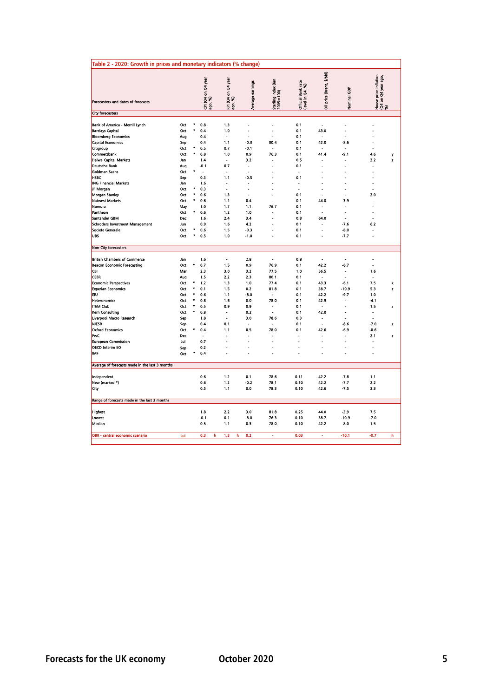| Table 2 - 2020: Growth in prices and monetary indicators (% change)         |                   |                |                               |                                 |                      |                                  |                                                    |                            |                                              |                                                        |        |
|-----------------------------------------------------------------------------|-------------------|----------------|-------------------------------|---------------------------------|----------------------|----------------------------------|----------------------------------------------------|----------------------------|----------------------------------------------|--------------------------------------------------------|--------|
| Forecasters and dates of forecasts                                          |                   |                | ርPI (Q4 on Q4 year<br>ago, %) | Q4 year<br>ફું કે<br>.<br>듣 용   | Average earnings     | Sterling index (Jan<br>2005=100) | Bank rate<br>1 Q4, %)<br>Official B<br>(level in C | price (Brent, \$/bbl)<br>3 | Nominal GDP                                  | House price inflation<br>  (Q4 on Q4 year ago,<br>  %) |        |
| <b>City forecasters</b>                                                     |                   |                |                               |                                 |                      |                                  |                                                    |                            |                                              |                                                        |        |
| Bank of America - Merrill Lynch<br><b>Barclays Capital</b>                  | Oct<br>Oct        | ۰<br>$\bullet$ | 0.8<br>0.4                    | 1.3<br>1.0                      | Ĭ.<br>$\overline{a}$ | $\blacksquare$<br>$\overline{a}$ | 0.1<br>0.1                                         | ÷,<br>43.0                 | Ĭ.<br>L.                                     |                                                        |        |
| <b>Bloomberg Economics</b><br><b>Capital Economics</b>                      | Aug<br>Sep        | ٠              | 0.4<br>0.4                    | $\overline{a}$<br>1.1           | J.<br>$-0.3$         | 80.4                             | 0.1<br>0.1                                         | 42.0                       | $-8.6$                                       |                                                        |        |
| Citigroup<br>Commerzbank<br>Daiwa Capital Markets                           | Oct<br>Oct<br>Jan | ۰              | 0.5<br>0.8<br>1.4             | 0.7<br>1.0                      | $-0.1$<br>0.9<br>3.2 | ÷.<br>76.3                       | 0.1<br>0.1<br>0.5                                  | 41.4                       | Ĩ.<br>$-9.1$<br>ä,                           | 4.6<br>2.2                                             | y<br>z |
| <b>Deutsche Bank</b><br>Goldman Sachs                                       | Aug<br>Oct        | ۰              | $-0.1$<br>$\overline{a}$      | 0.7<br>÷.                       | ÷<br>$\overline{a}$  |                                  | 0.1<br>$\overline{a}$                              |                            |                                              |                                                        |        |
| <b>HSBC</b><br><b>ING Financial Markets</b><br>JP Morgan                    | Sep<br>Jan<br>Oct | ۰              | 0.3<br>1.6<br>0.3             | 1.1<br>$\blacksquare$<br>ä,     | $-0.5$<br>ř.<br>÷,   | Ĭ.                               | 0.1<br>$\blacksquare$<br>ä,                        | J.                         | ä,<br>Ĭ.                                     |                                                        |        |
| <b>Morgan Stanley</b><br>Natwest Markets                                    | Oct<br>Oct        | ۰<br>۰         | 0.6<br>0.6                    | 1.3<br>1.1                      | ä,<br>0.4            | ٠                                | 0.1<br>0.1                                         | ä,<br>44.0                 | ä,<br>$-3.9$                                 | 2.0                                                    |        |
| Nomura<br>Pantheon                                                          | May<br>Oct        | ۰              | 1.0<br>0.6                    | 1.7<br>1.2                      | 1.1<br>1.0           | 76.7<br>٠                        | 0.1<br>0.1                                         |                            | Ĭ.<br>Ĭ.                                     |                                                        |        |
| Santander GBM<br><b>Schroders Investment Management</b><br>Societe Generale | Dec<br>Jun<br>Oct | $\bullet$      | 1.6<br>0.9<br>0.6             | 2.4<br>1.6<br>1.5               | 3.4<br>4.2<br>$-0.3$ | J.                               | 0.8<br>0.1<br>0.1                                  | 64.0                       | J.<br>$-7.6$<br>$-8.0$                       | 6.2                                                    |        |
| <b>UBS</b>                                                                  | Oct               |                | 0.5                           | 1.0                             | $-1.0$               | $\overline{a}$                   | 0.1                                                | ä,                         | 7.7                                          |                                                        |        |
| <b>Non-City forecasters</b>                                                 |                   |                |                               |                                 |                      |                                  |                                                    |                            |                                              |                                                        |        |
| <b>British Chambers of Commerce</b><br><b>Beacon Economic Forecasting</b>   | Jan<br>Oct        | ۰              | 1.6<br>0.7                    | $\overline{\phantom{a}}$<br>1.5 | 2.8<br>0.9           | $\sim$<br>76.9                   | 0.8<br>0.1                                         | ÷<br>42.2                  | $\overline{a}$<br>$-6.7$                     | $\overline{a}$                                         |        |
| CBI<br><b>CEBR</b>                                                          | Mar<br>Aug        | ۰              | 2.3<br>1.5                    | 3.0<br>2.2                      | 3.2<br>2.3           | 77.5<br>80.1                     | 1.0<br>0.1                                         | 56.5<br>٠                  | $\ddot{\phantom{a}}$<br>$\ddot{\phantom{a}}$ | 1.6                                                    |        |
| <b>Economic Perspectives</b><br><b>Experian Economics</b><br><b>EIU</b>     | Oct<br>Oct<br>Oct | ۰<br>۰         | 1.2<br>0.1<br>0.6             | 1.3<br>1.5<br>1.1               | 1.0<br>0.2<br>$-8.0$ | 77.4<br>81.8                     | 0.1<br>0.1<br>0.1                                  | 43.3<br>38.7<br>42.2       | $-6.1$<br>$-10.9$<br>$-9.7$                  | 7.5<br>5.3<br>1.0                                      | k<br>z |
| <b>Heteronomics</b><br><b>ITEM Club</b>                                     | Oct<br>Oct        | $\star$<br>۰   | 0.8<br>0.5                    | 1.6<br>0.9                      | 0.0<br>0.9           | 78.0                             | 0.1<br>0.1                                         | 42.9                       | $\overline{a}$                               | $-4.1$<br>1.5                                          | z      |
| Kern Consulting<br>Liverpool Macro Research<br><b>NIESR</b>                 | Oct<br>Sep<br>Sep | $\bullet$      | 0.8<br>1.8<br>0.4             | $\blacksquare$<br>0.1           | 0.2<br>3.0           | 78.6                             | 0.1<br>0.3<br>0.1                                  | 42.0<br>٠<br>ä,            | Ĭ.<br>$-8.6$                                 | $-7.0$                                                 | z      |
| <b>Oxford Economics</b><br><b>PWC</b>                                       | Oct<br>Dec        | ۰              | 0.4                           | 1.1                             | 0.5                  | 78.0                             | 0.1                                                | 42.6<br>٠                  | $-6.9$<br>٠                                  | $-0.6$<br>2.1                                          | z      |
| <b>European Commission</b><br><b>OECD Interim EO</b>                        | Jul<br>Sep        |                | 0.7<br>0.2                    | L,                              | ä,<br>÷,<br>Ĭ.       | L,                               |                                                    | L<br>Ĭ.                    |                                              |                                                        |        |
| IMF<br>Average of forecasts made in the last 3 months                       | Oct               |                | 0.4                           |                                 |                      |                                  |                                                    |                            |                                              |                                                        |        |
| Independent                                                                 |                   |                | 0.6                           | 1.2                             | 0.1                  | 78.6                             | 0.11                                               | 42.2                       | 7.8                                          | 1.1                                                    |        |
| New (marked *)<br>City                                                      |                   |                | 0.6<br>0.5                    | 1.2<br>1.1                      | $-0.2$<br>0.0        | 78.1<br>78.3                     | 0.10<br>0.10                                       | 42.2<br>42.6               | -7.7<br>$-7.5$                               | 2.2<br>3.3                                             |        |
| Range of forecasts made in the last 3 months                                |                   |                |                               |                                 |                      |                                  |                                                    |                            |                                              |                                                        |        |
| <b>Highest</b><br>Lowest                                                    |                   |                | 1.8<br>$-0.1$                 | 2.2<br>0.1                      | 3.0<br>$-8.0$        | 81.8<br>76.3                     | 0.25<br>0.10                                       | 44.0<br>38.7               | $-3.9$<br>$-10.9$                            | 7.5<br>$-7.0$                                          |        |
| Median                                                                      |                   |                | 0.5                           | 1.1                             | 0.3                  | 78.0                             | 0.10                                               | 42.2                       | $-8.0$                                       | 1.5                                                    |        |
| OBR - central economic scenario                                             | Jul               |                | 0.3<br>h                      | 1.3<br>h                        | 0.2                  | ä,                               | 0.03                                               | ä                          | $-10.1$                                      | $-0.7$                                                 | h      |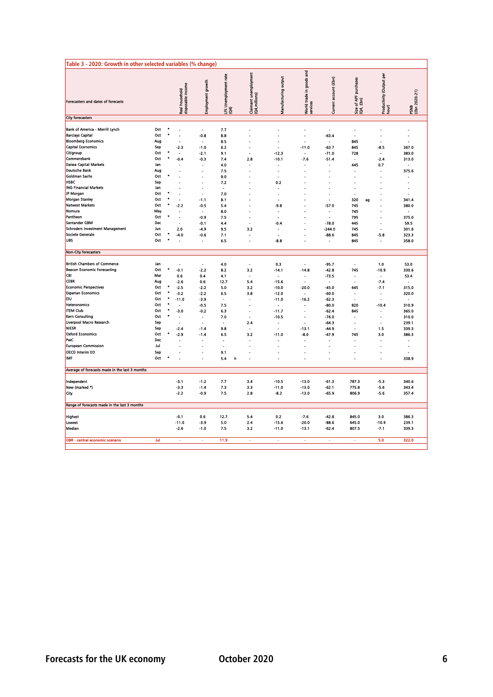| Table 3 - 2020: Growth in other selected variables (% change)                                                                                                                                                                                                                  |                                                                                  |                                            |                                                                                                          |                                                                                                      |                                                                                |                                                                                                                                                            |                                                                                                    |                                                                                                          |                                                                                            |                                                                      |                                                                                                               |                                                                                                |
|--------------------------------------------------------------------------------------------------------------------------------------------------------------------------------------------------------------------------------------------------------------------------------|----------------------------------------------------------------------------------|--------------------------------------------|----------------------------------------------------------------------------------------------------------|------------------------------------------------------------------------------------------------------|--------------------------------------------------------------------------------|------------------------------------------------------------------------------------------------------------------------------------------------------------|----------------------------------------------------------------------------------------------------|----------------------------------------------------------------------------------------------------------|--------------------------------------------------------------------------------------------|----------------------------------------------------------------------|---------------------------------------------------------------------------------------------------------------|------------------------------------------------------------------------------------------------|
| Forecasters and dates of forecasts                                                                                                                                                                                                                                             |                                                                                  |                                            | disposable income<br>Real household                                                                      | Employment growth                                                                                    | LFS Unemployment rate<br>(Q4)                                                  | Claimant unemployment<br>(Q4,millions)                                                                                                                     | Manufacturing output                                                                               | World trade in goods and<br>services                                                                     | Current account (£bn)                                                                      | Size of APF purchases<br>(Q4, £bn)                                   | Productivity (Output per<br>hour)                                                                             | PSNB<br>(£bn 2020-21)                                                                          |
| <b>City forecasters</b>                                                                                                                                                                                                                                                        |                                                                                  |                                            |                                                                                                          |                                                                                                      |                                                                                |                                                                                                                                                            |                                                                                                    |                                                                                                          |                                                                                            |                                                                      |                                                                                                               |                                                                                                |
| Bank of America - Merrill Lynch<br><b>Barclays Capital</b><br><b>Bloomberg Economics</b><br><b>Capital Economics</b><br>Citigroup<br>Commerzbank<br>Daiwa Capital Markets<br><b>Deutsche Bank</b><br>Goldman Sachs<br><b>HSBC</b><br><b>ING Financial Markets</b><br>JP Morgan | Oct<br>Oct<br>Aug<br>Sep<br>Oct<br>Oct<br>Jan<br>Aug<br>Oct<br>Sep<br>Jan<br>Oct | ٠<br>٠<br>٠<br>$\bullet$<br>٠<br>$\bullet$ | Ĭ.<br>Ĭ.<br>$-2.3$<br>Ĭ.<br>$-0.4$<br>L,<br>Ĭ.                                                           | $\overline{\phantom{a}}$<br>$-0.8$<br>$-1.0$<br>$-2.1$<br>$-0.3$<br>L,                               | 7.7<br>8.8<br>8.5<br>6.2<br>9.1<br>7.4<br>4.0<br>7.5<br>9.0<br>7.2<br>÷<br>7.0 | J.<br>÷.<br>$\overline{\phantom{a}}$<br>2.8<br>÷<br>$\overline{a}$<br>$\overline{\phantom{a}}$                                                             | J.<br>Ĭ.<br>J.<br>$\ddot{\phantom{0}}$<br>$-12.3$<br>$-10.1$<br>÷,<br>J.<br>0.2<br>$\blacksquare$  | J.<br>Ĭ.<br>$-11.0$<br>$\ddot{\phantom{1}}$<br>$-7.6$<br>÷,<br>Ĭ.<br>J.                                  | ÷,<br>$-63.4$<br>$-63.7$<br>$-71.0$<br>$-51.4$<br>÷,                                       | ÷.<br>845<br>845<br>728<br>445<br>÷                                  | ÷,<br>Ĭ.<br>÷.<br>$-8.5$<br>$\ddot{\phantom{1}}$<br>$-2.4$<br>0.7<br>$\overline{\phantom{a}}$<br>L,<br>÷      | ä,<br>367.0<br>383.0<br>313.0<br>٠<br>375.6                                                    |
| <b>Morgan Stanley</b><br>Natwest Markets<br>Nomura<br>Pantheon<br>Santander GBM<br><b>Schroders Investment Management</b><br>Societe Generale<br><b>UBS</b>                                                                                                                    | Oct<br>Oct<br>May<br>Oct<br>Dec<br>Jun<br>Oct<br>Oct                             | $\bullet$<br>٠                             | ä,<br>$-2.2$<br>÷,<br>J.<br>2.0<br>-4.0<br>Ē.                                                            | $-1.1$<br>$-0.5$<br>$\overline{\phantom{a}}$<br>$-0.9$<br>$-0.1$<br>$-4.9$<br>-0.6<br>$\blacksquare$ | 8.1<br>5.4<br>8.0<br>7.5<br>4.4<br>9.5<br>7.1<br>6.5                           | $\overline{\phantom{a}}$<br>$\overline{a}$<br>3.2<br>Ĭ.                                                                                                    | ÷,<br>$-9.8$<br>$\overline{a}$<br>$-0.4$<br>٠<br>÷.<br>$-8.8$                                      | ä,<br>÷.                                                                                                 | ÷<br>$-57.0$<br>$\overline{\phantom{a}}$<br>$-78.0$<br>$-244.0$<br>-88.6<br>$\blacksquare$ | 320<br>ag<br>745<br>745<br>795<br>445<br>745<br>845<br>845           | $\overline{\phantom{a}}$<br>$\overline{\phantom{a}}$<br>$-5.8$<br>$\blacksquare$                              | 341.4<br>380.0<br>$\overline{\phantom{a}}$<br>375.0<br>59.5<br>301.6<br>323.3<br>358.0         |
|                                                                                                                                                                                                                                                                                |                                                                                  |                                            |                                                                                                          |                                                                                                      |                                                                                |                                                                                                                                                            |                                                                                                    |                                                                                                          |                                                                                            |                                                                      |                                                                                                               |                                                                                                |
| Non-City forecasters                                                                                                                                                                                                                                                           |                                                                                  |                                            |                                                                                                          |                                                                                                      |                                                                                |                                                                                                                                                            |                                                                                                    |                                                                                                          |                                                                                            |                                                                      |                                                                                                               |                                                                                                |
| <b>British Chambers of Commerce</b><br><b>Beacon Economic Forecasting</b><br><b>CBI</b><br><b>CEBR</b><br><b>Economic Perspectives</b><br><b>Experian Economics</b><br><b>EIU</b><br><b>Heteronomics</b><br><b>ITEM Club</b><br>Kern Consulting                                | Jan<br>Oct<br>Mar<br>Aug<br>Oct<br>Oct<br>Oct<br>Oct<br>Oct<br>Oct               | $\bullet$<br>$\bullet$<br>٠<br>٠<br>٠<br>٠ | ÷,<br>$-0.1$<br>0.6<br>$-2.6$<br>$-2.5$<br>$-3.2$<br>$-11.0$<br>$\overline{\phantom{a}}$<br>$-3.0$<br>J. | $\overline{a}$<br>$-2.2$<br>0.4<br>0.6<br>$-2.2$<br>-2.2<br>$-3.9$<br>-0.5<br>$-0.2$<br>÷.           | 4.0<br>8.2<br>4.1<br>12.7<br>5.0<br>6.5<br>$\overline{a}$<br>7.5<br>6.3<br>7.0 | $\overline{\phantom{a}}$<br>3.2<br>5.4<br>3.2<br>3.8<br>$\overline{\phantom{a}}$<br>$\overline{\phantom{a}}$<br>$\overline{\phantom{a}}$<br>$\overline{a}$ | 0.3<br>$-14.1$<br>$-15.6$<br>$-10.0$<br>$-12.0$<br>$-11.0$<br>$\overline{a}$<br>$-11.7$<br>$-10.5$ | $\overline{\phantom{a}}$<br>$-14.8$<br>٠<br>$-20.0$<br>$\overline{a}$<br>$-16.2$<br>$\overline{a}$<br>ä, | $-95.7$<br>-42.8<br>$-73.5$<br>$-45.0$<br>-60.0<br>$-62.3$<br>-80.0<br>$-62.4$<br>$-76.0$  | $\overline{\phantom{a}}$<br>745<br>٠<br>645<br>÷<br>820<br>845<br>ä, | 1.0<br>-10.9<br>÷,<br>$-7.4$<br>$-7.1$<br>$\overline{\phantom{a}}$<br>-10.4<br>$\overline{\phantom{a}}$<br>÷, | 53.0<br>330.6<br>53.4<br>315.0<br>320.0<br>$\overline{\phantom{a}}$<br>310.9<br>365.0<br>310.0 |
| Liverpool Macro Research<br>NIESR<br><b>Oxford Economics</b><br><b>IPWC</b><br><b>European Commission</b><br>OECD Interim EO<br><b>IMF</b>                                                                                                                                     | Sep<br>Sep<br>Oct<br>Dec<br>Jul<br>Sep<br>Oct                                    | ٠                                          | Ĭ.<br>$-2.4$<br>$-2.9$<br>L.                                                                             | $-1.4$<br>$-1.4$<br>$\overline{a}$                                                                   | Ĭ.<br>9.8<br>6.5<br>÷.<br>J.<br>9.1<br>5.4<br>h                                | 2.4<br>3.2<br>÷<br>÷.                                                                                                                                      | $\ddot{\phantom{0}}$<br>ä,<br>$-11.0$<br>٠<br>J.                                                   | Ĭ.<br>$-13.1$<br>$-8.0$<br>÷<br>ä,<br>$\blacksquare$<br>J.                                               | $-64.3$<br>-44.9<br>$-47.9$<br>$\overline{\phantom{a}}$<br>J.                              | í,<br>$\overline{a}$<br>745<br>J.<br>J.                              | ÷,<br>1.5<br>3.0<br>÷<br>÷,<br>L.                                                                             | 239.1<br>339.3<br>386.3<br>338.9                                                               |
| Average of forecasts made in the last 3 months                                                                                                                                                                                                                                 |                                                                                  |                                            |                                                                                                          |                                                                                                      |                                                                                |                                                                                                                                                            |                                                                                                    |                                                                                                          |                                                                                            |                                                                      |                                                                                                               |                                                                                                |
| Independent<br>New (marked *)<br>City<br>Range of forecasts made in the last 3 months                                                                                                                                                                                          |                                                                                  |                                            | $-3.1$<br>$-3.3$<br>$-2.2$                                                                               | $-1.2$<br>$-1.4$<br>$-0.9$                                                                           | 7.7<br>7.3<br>7.5                                                              | 3.4<br>3.3<br>2.8                                                                                                                                          | $-10.5$<br>$-11.0$<br>$-8.2$                                                                       | $-13.0$<br>$-13.0$<br>$-13.0$                                                                            | $-61.3$<br>$-62.1$<br>$-65.9$                                                              | 787.3<br>775.8<br>806.9                                              | $-5.3$<br>$-5.6$<br>$-5.6$                                                                                    | 340.6<br>343.4<br>357.4                                                                        |
| Highest<br>Lowest<br>Median                                                                                                                                                                                                                                                    |                                                                                  |                                            | $-0.1$<br>$-11.0$<br>$-2.6$                                                                              | 0.6<br>$-3.9$<br>$-1.0$                                                                              | 12.7<br>5.0<br>7.5                                                             | 5.4<br>2.4<br>3.2                                                                                                                                          | 0.2<br>$-15.6$<br>$-11.0$                                                                          | $-7.6$<br>$-20.0$<br>$-13.1$                                                                             | $-42.8$<br>$-88.6$<br>$-62.4$                                                              | 845.0<br>645.0<br>807.5                                              | 3.0<br>$-10.9$<br>$-7.1$                                                                                      | 386.3<br>239.1<br>339.3                                                                        |
| OBR - central economic scenario                                                                                                                                                                                                                                                | Jul                                                                              |                                            | ä.                                                                                                       | ä,                                                                                                   | 11.9                                                                           | ÷.                                                                                                                                                         | ä.                                                                                                 | ÷.                                                                                                       | ٠                                                                                          |                                                                      | 5.0                                                                                                           | 322.0                                                                                          |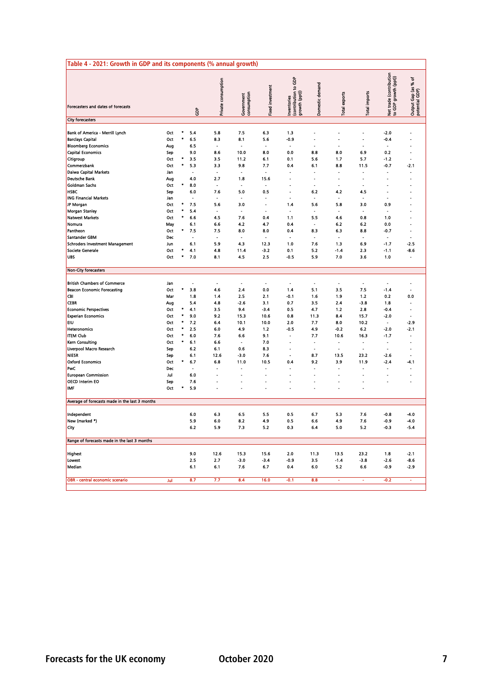|                                                | Table 4 - 2021: Growth in GDP and its components (% annual growth) |           |            |                     |                           |                  |                                                       |                 |                          |                      |                                                 |                                         |
|------------------------------------------------|--------------------------------------------------------------------|-----------|------------|---------------------|---------------------------|------------------|-------------------------------------------------------|-----------------|--------------------------|----------------------|-------------------------------------------------|-----------------------------------------|
| Forecasters and dates of forecasts             |                                                                    |           | ទិ         | Private consumption | Government<br>consumption | Fixed investment | Inventories<br> contribution to GDP<br> growth (ppt)) | Domestic demand | Total exports            | <b>Total imports</b> | Net trade (contribution<br>to GDP growth (ppt)) | đ<br>Output Gap (as %<br>potential GDP) |
| <b>City forecasters</b>                        |                                                                    |           |            |                     |                           |                  |                                                       |                 |                          |                      |                                                 |                                         |
| Bank of America - Merrill Lynch                | Oct                                                                |           | 5.4        | 5.8                 | 7.5                       | 6.3              | 1.3                                                   |                 |                          |                      | $-2.0$                                          |                                         |
| <b>Barclays Capital</b>                        | Oct                                                                |           | 6.5        | 8.3                 | 8.1                       | 5.6              | $-0.9$                                                | ÷.              | ÷.                       | ÷                    | $-0.4$                                          |                                         |
| <b>Bloomberg Economics</b>                     | Aug                                                                |           | 6.5        | J.                  |                           | J.               |                                                       | ÷,              |                          |                      |                                                 |                                         |
| <b>Capital Economics</b>                       | Sep                                                                |           | 9.0        | 8.6                 | 10.0                      | 8.0              | 0.0                                                   | 8.8             | 8.0                      | 6.9                  | 0.2                                             |                                         |
| Citigroup                                      | Oct                                                                |           | 3.5        | 3.5                 | 11.2                      | 6.1              | 0.1                                                   | 5.6             | 1.7                      | 5.7                  | $-1.2$                                          |                                         |
| Commerzbank                                    | Oct                                                                | $\bullet$ | 5.3        | 3.3                 | 9.8                       | 7.7              | 0.4                                                   | 6.1             | 8.8                      | 11.5                 | $-0.7$                                          | $-2.1$                                  |
| Daiwa Capital Markets                          | Jan                                                                |           |            |                     |                           |                  |                                                       |                 |                          |                      |                                                 |                                         |
| <b>Deutsche Bank</b>                           | Aug                                                                |           | 4.0        | 2.7                 | 1.8                       | 15.6             |                                                       |                 |                          |                      |                                                 |                                         |
| Goldman Sachs                                  | Oct                                                                |           | 8.0        | ÷.                  | J.                        | ä,               |                                                       | ÷.              | $\overline{a}$           | ÷.                   |                                                 |                                         |
| <b>HSBC</b><br><b>ING Financial Markets</b>    | Sep                                                                |           | 6.0        | 7.6<br>÷.           | 5.0                       | 0.5              | ä,                                                    | 6.2<br>٠.       | 4.2                      | 4.5                  |                                                 |                                         |
| JP Morgan                                      | Jan<br>Oct                                                         |           | 7.5        | 5.6                 | 3.0                       | ä,               | 1.4                                                   | 5.6             | 5.8                      | 3.0                  | 0.9                                             |                                         |
| Morgan Stanley                                 | Oct                                                                |           | 5.4        | Ĭ.                  | ×.                        |                  | ×                                                     | $\blacksquare$  | ×                        | $\blacksquare$       | ×                                               |                                         |
| Natwest Markets                                | Oct                                                                |           | 6.6        | 4.5                 | 7.6                       | 0.4              | 1.1                                                   | 5.5             | 4.6                      | 0.8                  | 1.0                                             |                                         |
| Nomura                                         | May                                                                |           | 6.1        | 6.6                 | 4.2                       | 4.7              | 0.4                                                   | $\overline{a}$  | 6.2                      | 6.2                  | 0.0                                             |                                         |
| Pantheon                                       | Oct                                                                |           | 7.5        | 7.5                 | 8.0                       | 8.0              | 0.4                                                   | 8.3             | 6.3                      | 8.8                  | $-0.7$                                          |                                         |
| Santander GBM                                  | Dec                                                                |           |            | J.                  | L.                        | $\overline{a}$   |                                                       | $\overline{a}$  |                          | $\overline{a}$       | ÷.                                              | L.                                      |
| Schroders Investment Management                | Jun                                                                |           | 6.1        | 5.9                 | 4.3                       | 12.3             | 1.0                                                   | 7.6             | 1.3                      | 6.9                  | $-1.7$                                          | $-2.5$                                  |
| Societe Generale                               | Oct                                                                |           | 4.1        | 4.8                 | 11.4                      | $-3.2$           | 0.1                                                   | 5.2             | $-1.4$                   | 2.3                  | $-1.1$                                          | $-8.6$                                  |
| <b>UBS</b>                                     | Oct                                                                |           | 7.0        | 8.1                 | 4.5                       | 2.5              | $-0.5$                                                | 5.9             | 7.0                      | 3.6                  | 1.0                                             | ٠                                       |
|                                                |                                                                    |           |            |                     |                           |                  |                                                       |                 |                          |                      |                                                 |                                         |
| Non-City forecasters                           |                                                                    |           |            |                     |                           |                  |                                                       |                 |                          |                      |                                                 |                                         |
|                                                |                                                                    |           |            |                     |                           |                  |                                                       |                 |                          |                      |                                                 |                                         |
| <b>British Chambers of Commerce</b>            | Jan                                                                |           | J.         | ÷,                  | J.                        | ÷,               | ÷,                                                    | ÷,              | ÷.                       | ÷,                   | ÷,                                              |                                         |
| <b>Beacon Economic Forecasting</b>             | Oct                                                                |           | 3.8        | 4.6                 | 2.4                       | 0.0              | 1.4                                                   | 5.1             | 3.5                      | 7.5                  | $-1.4$                                          | ÷.                                      |
| <b>CBI</b>                                     | Mar                                                                |           | 1.8        | 1.4                 | 2.5                       | 2.1              | $-0.1$                                                | 1.6             | 1.9                      | 1.2                  | 0.2                                             | 0.0                                     |
| <b>CEBR</b>                                    | Aug                                                                |           | 5.4        | 4.8                 | $-2.6$                    | 3.1              | 0.7                                                   | 3.5             | 24                       | $-3.8$               | 1.8                                             |                                         |
| <b>Economic Perspectives</b>                   | Oct                                                                |           | 4.1        | 3.5                 | 9.4                       | $-3.4$           | 0.5                                                   | 4.7             | $1.2$                    | 2.8                  | $-0.4$                                          | Ĭ.<br>÷                                 |
| <b>Experian Economics</b><br><b>EIU</b>        | Oct<br>Oct                                                         |           | 9.0<br>7.2 | 9.2<br>6.4          | 15.3<br>10.1              | 10.6<br>10.0     | 0.8<br>2.0                                            | 11.3<br>7.7     | 8.4<br>8.0               | 15.7<br>10.2         | $-2.0$<br>$\overline{a}$                        | $-2.9$                                  |
| Heteronomics                                   | Oct                                                                |           | 2.5        | 6.0                 | 4.9                       | 1.2              | -0.5                                                  | 4.9             | $-0.2$                   | 6.2                  | $-2.0$                                          | $-2.1$                                  |
| <b>ITEM Club</b>                               | Oct                                                                |           | 6.0        | 7.6                 | 6.6                       | 9.1              |                                                       | 7.7             | 10.6                     | 16.3                 | $-1.7$                                          |                                         |
| Kern Consulting                                | Oct                                                                |           | 6.1        | 6.6                 |                           | 7.0              |                                                       |                 |                          |                      |                                                 |                                         |
| Liverpool Macro Research                       | Sep                                                                |           | 6.2        | 6.1                 | 0.6                       | 8.3              | ÷.                                                    | $\blacksquare$  | $\overline{\phantom{a}}$ | ÷,                   | $\tilde{\phantom{a}}$                           |                                         |
| NIESR                                          | Sep                                                                |           | 6.1        | 12.6                | $-3.0$                    | 7.6              |                                                       | 8.7             | 13.5                     | 23.2                 | $-2.6$                                          |                                         |
| <b>Oxford Economics</b>                        | Oct                                                                |           | 6.7        | 6.8                 | 11.0                      | 10.5             | 0.4                                                   | 9.2             | 3.9                      | 11.9                 | $-2.4$                                          | -4.1                                    |
| <b>PwC</b>                                     | Dec                                                                |           |            |                     |                           |                  |                                                       | ٠               |                          |                      |                                                 |                                         |
| <b>European Commission</b>                     | Jul                                                                |           | 6.0        |                     |                           | L,               |                                                       |                 |                          | ÷.                   | J.                                              |                                         |
| OECD Interim EO                                | Sep                                                                |           | 7.6        |                     |                           | ä,               | ÷,                                                    | ÷,              | $\overline{\phantom{a}}$ | ÷,                   | J.                                              |                                         |
| <b>IMF</b>                                     | Oct                                                                |           | 5.9        |                     |                           |                  |                                                       |                 |                          |                      |                                                 |                                         |
|                                                |                                                                    |           |            |                     |                           |                  |                                                       |                 |                          |                      |                                                 |                                         |
| Average of forecasts made in the last 3 months |                                                                    |           |            |                     |                           |                  |                                                       |                 |                          |                      |                                                 |                                         |
|                                                |                                                                    |           |            |                     |                           |                  |                                                       |                 |                          |                      |                                                 |                                         |
| Independent                                    |                                                                    |           | 6.0        | 6.3                 | 6.5                       | 5.5              | 0.5                                                   | 6.7             | 5.3                      | 7.6                  | $-0.8$                                          | $-4.0$                                  |
| New (marked *)                                 |                                                                    |           | 5.9        | 6.0                 | 8.2                       | 4.9              | 0.5                                                   | 6.6             | 4.9                      | 7.6                  | $-0.9$                                          | $-4.0$                                  |
| City                                           |                                                                    |           | 6.2        | 5.9                 | 7.3                       | 5.2              | 0.3                                                   | 6.4             | 5.0                      | 5.2                  | $-0.3$                                          | $-5.4$                                  |
| Range of forecasts made in the last 3 months   |                                                                    |           |            |                     |                           |                  |                                                       |                 |                          |                      |                                                 |                                         |
|                                                |                                                                    |           |            |                     |                           |                  |                                                       |                 |                          |                      |                                                 |                                         |
| Highest                                        |                                                                    |           | 9.0        | 12.6                | 15.3                      | 15.6             | 2.0                                                   | 11.3            | 13.5                     | 23.2                 | 1.8                                             | $-2.1$                                  |
| Lowest                                         |                                                                    |           | 2.5        | 2.7                 | $-3.0$                    | $-3.4$           | -0.9                                                  | 3.5             | $-1.4$                   | $-3.8$               | $-2.6$                                          | $-8.6$                                  |
| Median                                         |                                                                    |           | 6.1        | 6.1                 | 7.6                       | 6.7              | 0.4                                                   | 6.0             | 5.2                      | 6.6                  | $-0.9$                                          | $-2.9$                                  |
| OBR - central economic scenario                | Jul                                                                |           | 8.7        | 7.7                 | 8.4                       | 16.0             | $-0.1$                                                | 8.8             |                          |                      | $-0.2$                                          |                                         |
|                                                |                                                                    |           |            |                     |                           |                  |                                                       |                 |                          |                      |                                                 |                                         |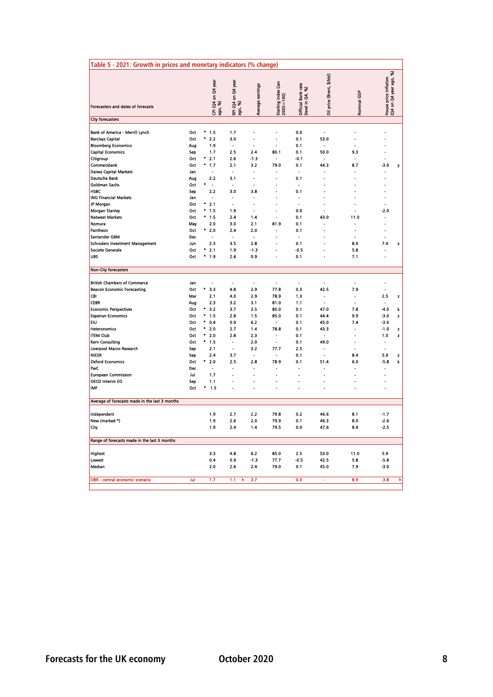|                                                                                                                                                                                                                                                                                                                 | Table 5 - 2021: Growth in prices and monetary indicators (% change)                            |                                                                                                                                                                       |                                                                                                                        |                                                                                                              |                                                                                                                                |                                                                                                          |                                                                                                          |                                                                                                                                                           |                                                                                                                                                                                  |
|-----------------------------------------------------------------------------------------------------------------------------------------------------------------------------------------------------------------------------------------------------------------------------------------------------------------|------------------------------------------------------------------------------------------------|-----------------------------------------------------------------------------------------------------------------------------------------------------------------------|------------------------------------------------------------------------------------------------------------------------|--------------------------------------------------------------------------------------------------------------|--------------------------------------------------------------------------------------------------------------------------------|----------------------------------------------------------------------------------------------------------|----------------------------------------------------------------------------------------------------------|-----------------------------------------------------------------------------------------------------------------------------------------------------------|----------------------------------------------------------------------------------------------------------------------------------------------------------------------------------|
| Forecasters and dates of forecasts                                                                                                                                                                                                                                                                              |                                                                                                | l (Q4 on Q4 year<br>p, %)<br>္<br>၉<br>ခ်ိဳ                                                                                                                           | RPI (Q4 on Q4 year<br>ago, %)                                                                                          | Average earnings                                                                                             | Sterling index (Jan<br>2005=100)                                                                                               | Official Bank rate<br>P<br>(level in Q4,                                                                 | price (Brent, \$/bbl)<br>ā                                                                               | Nominal GDP                                                                                                                                               | ₽<br>House price inflation<br>(Q4 on Q4 year ago,                                                                                                                                |
| <b>City forecasters</b>                                                                                                                                                                                                                                                                                         |                                                                                                |                                                                                                                                                                       |                                                                                                                        |                                                                                                              |                                                                                                                                |                                                                                                          |                                                                                                          |                                                                                                                                                           |                                                                                                                                                                                  |
| Bank of America - Merrill Lynch<br><b>Barclays Capital</b><br><b>Bloomberg Economics</b><br><b>Capital Economics</b><br>Citigroup<br>Commerzbank<br>Daiwa Capital Markets<br>Deutsche Bank<br>Goldman Sachs<br><b>HSBC</b>                                                                                      | Oct<br>Oct<br>Aug<br>Sep<br>Oct<br>Oct<br>Jan<br>Aug<br>Oct<br>Sep                             | ۰<br>1.5<br>$\bullet$<br>2.2<br>1.9<br>1.7<br>٠<br>2.1<br>$\bullet$<br>1.7<br>2.2<br>$\overline{a}$<br>2.2                                                            | 1.7<br>3.0<br>$\blacksquare$<br>2.5<br>2.6<br>2.1<br>3.1<br>ä,<br>3.0                                                  | ٠<br>÷,<br>J.<br>2.4<br>$-1.3$<br>3.2<br>$\overline{a}$<br>÷,<br>3.8                                         | $\overline{a}$<br>ä,<br>ä,<br>80.1<br>$\overline{a}$<br>79.0                                                                   | 0.0<br>0.1<br>0.1<br>0.1<br>$-0.1$<br>0.1<br>0.1<br>0.1                                                  | 53.0<br>50.0<br>44.3                                                                                     | ٠<br>ä,<br>9.3<br>$\overline{\phantom{a}}$<br>8.7<br>L.                                                                                                   | $\overline{a}$<br>ä,<br>-3.0<br>у<br>$\blacksquare$<br>$\overline{a}$                                                                                                            |
| <b>ING Financial Markets</b><br>JP Morgan<br>Morgan Stanley<br><b>Natwest Markets</b><br>Nomura<br>Pantheon<br>Santander GBM<br><b>Schroders Investment Management</b><br>Societe Generale<br><b>UBS</b>                                                                                                        | Jan<br>Oct<br>Oct<br>Oct<br>May<br>Oct<br>Dec<br>Jun<br>Oct<br>Oct                             | $\overline{\phantom{a}}$<br>$\bullet$<br>2.1<br>$\bullet$<br>1.5<br>٠<br>1.5<br>2.0<br>$\bullet$<br>2.0<br>÷.<br>2.3<br>۰<br>2.1<br>۰<br>1.9                          | ٠<br>÷,<br>1.9<br>2.4<br>3.0<br>2.4<br>Ĭ.<br>3.5<br>1.9<br>2.6                                                         | ÷<br>÷<br>$\ddot{\phantom{a}}$<br>1.4<br>2.1<br>2.0<br>$\overline{\phantom{a}}$<br>2.8<br>$-1.3$<br>0.9      | ä,<br>ä,<br>81.9<br>÷,<br>ä,                                                                                                   | ٠<br>0.0<br>0.1<br>0.1<br>0.1<br>$\overline{a}$<br>0.1<br>$-0.5$<br>0.1                                  | L.<br>43.0<br>$\ddot{\phantom{1}}$                                                                       | ÷,<br>ä,<br>11.0<br>$\overline{\phantom{a}}$<br>÷,<br>8.0<br>5.8<br>7.1                                                                                   | $-2.0$<br>$\blacksquare$<br>L,<br>7.4<br>X<br>$\tilde{\phantom{a}}$                                                                                                              |
| Non-City forecasters                                                                                                                                                                                                                                                                                            |                                                                                                |                                                                                                                                                                       |                                                                                                                        |                                                                                                              |                                                                                                                                |                                                                                                          |                                                                                                          |                                                                                                                                                           |                                                                                                                                                                                  |
| <b>British Chambers of Commerce</b><br><b>Beacon Economic Forecasting</b><br>CBI<br>CEBR<br><b>Economic Perspectives</b><br><b>Experian Economics</b><br><b>EIU</b><br>Heteronomics<br><b>ITEM Club</b><br>Kern Consulting<br>Liverpool Macro Research<br><b>NIESR</b><br><b>Oxford Economics</b><br><b>PWC</b> | Jan<br>Oct<br>Mar<br>Aug<br>Oct<br>Oct<br>Oct<br>Oct<br>Oct<br>Oct<br>Sep<br>Sep<br>Oct<br>Dec | $\overline{a}$<br>۰<br>3.3<br>2.1<br>2.3<br>3.2<br>÷,<br>×<br>1.5<br>۰<br>0.4<br>$\bullet$<br>2.0<br>٠<br>2.0<br>$\hat{\mathbf{x}}$<br>1.5<br>2.1<br>2.4<br>÷,<br>2.0 | $\overline{a}$<br>4.8<br>4.0<br>3.2<br>3.7<br>2.8<br>0.9<br>2.7<br>2.8<br>$\overline{\phantom{a}}$<br>3.7<br>2.5<br>ä, | $\overline{a}$<br>2.9<br>2.9<br>3.1<br>3.5<br>1.5<br>6.2<br>1.4<br>2.3<br>2.0<br>3.2<br>÷,<br>2.8<br>٠<br>ä, | $\overline{a}$<br>77.8<br>78.9<br>81.0<br>80.0<br>85.0<br>78.8<br>$\ddot{\phantom{a}}$<br>77.7<br>78.9<br>$\ddot{\phantom{0}}$ | $\overline{a}$<br>0.3<br>1.3<br>1.1<br>0.1<br>0.1<br>0.1<br>0.1<br>0.1<br>0.1<br>2.5<br>0.1<br>0.1<br>ä, | L.<br>42.5<br>$\overline{a}$<br>47.0<br>44.4<br>45.0<br>43.3<br>49.0<br>$\overline{\phantom{a}}$<br>51.4 | $\overline{a}$<br>7.9<br>÷,<br>$\overline{\phantom{a}}$<br>7.8<br>9.9<br>7.4<br>$\overline{a}$<br>J.<br>$\overline{\phantom{a}}$<br>8.4<br>6.0<br>٠<br>ä, | $\overline{a}$<br>÷,<br>2.5<br>z<br>Ĭ.<br>k<br>$-4.0$<br>-3.0<br>z<br>$-3.0$<br>$-1.0$<br>z<br>1.0<br>z<br>$\ddot{\phantom{a}}$<br>5.9<br>z<br>k<br>-5.8<br>$\ddot{\phantom{1}}$ |
| <b>European Commission</b><br><b>OECD Interim EO</b>                                                                                                                                                                                                                                                            | Jul<br>Sep                                                                                     | 1.7<br>1.1                                                                                                                                                            |                                                                                                                        | Ĭ.                                                                                                           | ä,                                                                                                                             |                                                                                                          |                                                                                                          | Í.                                                                                                                                                        |                                                                                                                                                                                  |
| IMF<br>Average of forecasts made in the last 3 months                                                                                                                                                                                                                                                           | Oct                                                                                            | ۰<br>1.5                                                                                                                                                              | L,                                                                                                                     | l.                                                                                                           | L.                                                                                                                             | J.                                                                                                       |                                                                                                          |                                                                                                                                                           |                                                                                                                                                                                  |
|                                                                                                                                                                                                                                                                                                                 |                                                                                                |                                                                                                                                                                       |                                                                                                                        |                                                                                                              |                                                                                                                                |                                                                                                          |                                                                                                          |                                                                                                                                                           |                                                                                                                                                                                  |
| Independent<br>New (marked *)<br>City                                                                                                                                                                                                                                                                           |                                                                                                | 1.9<br>1.9<br>1.9                                                                                                                                                     | 2.7<br>2.6<br>2.4                                                                                                      | 2.2<br>2.0<br>1.4                                                                                            | 79.8<br>79.9<br>79.5                                                                                                           | 0.2<br>0.1<br>0.0                                                                                        | 46.6<br>46.3<br>47.6                                                                                     | 8.1<br>8.0<br>8.4                                                                                                                                         | $-1.7$<br>$-2.6$<br>$-2.5$                                                                                                                                                       |
| Range of forecasts made in the last 3 months                                                                                                                                                                                                                                                                    |                                                                                                |                                                                                                                                                                       |                                                                                                                        |                                                                                                              |                                                                                                                                |                                                                                                          |                                                                                                          |                                                                                                                                                           |                                                                                                                                                                                  |
| Highest<br>Lowest<br>Median                                                                                                                                                                                                                                                                                     |                                                                                                | 3.3<br>0.4<br>2.0                                                                                                                                                     | 4.8<br>0.9<br>2.6                                                                                                      | 6.2<br>$-1.3$<br>2.4                                                                                         | 85.0<br>77.7<br>79.0                                                                                                           | 2.5<br>$-0.5$<br>0.1                                                                                     | 53.0<br>42.5<br>45.0                                                                                     | 11.0<br>5.8<br>7.9                                                                                                                                        | 5.9<br>$-5.8$<br>$-3.0$                                                                                                                                                          |
| OBR - central economic scenario                                                                                                                                                                                                                                                                                 | Jul                                                                                            | 1.7                                                                                                                                                                   | 1.1<br>h                                                                                                               | 3.7                                                                                                          |                                                                                                                                | 0.0                                                                                                      | ä,                                                                                                       | 8.9                                                                                                                                                       | $-3.8$<br>h                                                                                                                                                                      |
|                                                                                                                                                                                                                                                                                                                 |                                                                                                |                                                                                                                                                                       |                                                                                                                        |                                                                                                              |                                                                                                                                |                                                                                                          |                                                                                                          |                                                                                                                                                           |                                                                                                                                                                                  |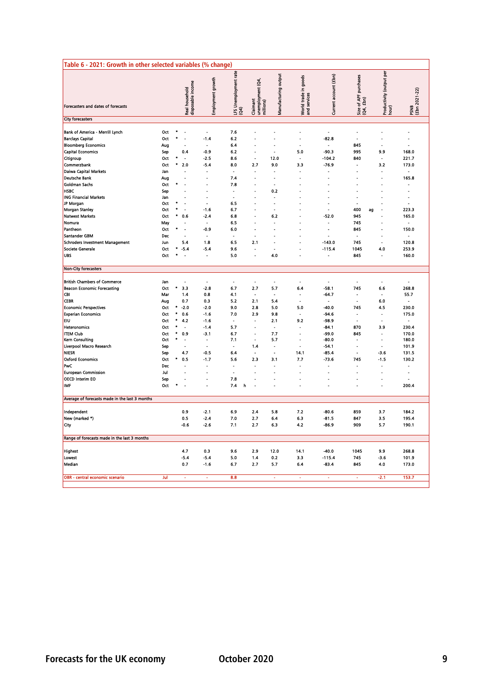| Table 6 - 2021: Growth in other selected variables (% change)                                                                     |                                  |                        |                                            |                                                                |                                  |                                                |                                                         |                                             |                                                       |                                                    |                                                           |                                  |
|-----------------------------------------------------------------------------------------------------------------------------------|----------------------------------|------------------------|--------------------------------------------|----------------------------------------------------------------|----------------------------------|------------------------------------------------|---------------------------------------------------------|---------------------------------------------|-------------------------------------------------------|----------------------------------------------------|-----------------------------------------------------------|----------------------------------|
| Forecasters and dates of forecasts                                                                                                |                                  |                        | disposable income<br><b>Real household</b> | Employment growth                                              | rate<br>LFS Unemployment<br>(Q4) | Claimant<br>  unemployment (Q4,<br>  millions) | Manufacturing output                                    | World trade in goods<br>and services        | Current account (£bn)                                 | purchases<br>Size of APF <sub>F</sub><br>(Q4, £bn) | Productivity (output per<br>hour)                         | PSNB<br>(£bn 2021-22)            |
| <b>City forecasters</b>                                                                                                           |                                  |                        |                                            |                                                                |                                  |                                                |                                                         |                                             |                                                       |                                                    |                                                           |                                  |
| Bank of America - Merrill Lynch<br><b>Barclays Capital</b><br><b>Bloomberg Economics</b><br><b>Capital Economics</b><br>Citigroup | Oct<br>Oct<br>Aug<br>Sep<br>Oct  |                        | ÷,<br>L,<br>0.4<br>J.                      | $\blacksquare$<br>$-1.4$<br>$\overline{a}$<br>$-0.9$<br>$-2.5$ | 7.6<br>6.2<br>6.4<br>6.2<br>8.6  | Ĭ.<br>L.<br>J.<br>$\overline{a}$               | Ĭ.<br>÷,<br>$\overline{a}$<br>L.<br>12.0                | ÷,<br>Ĭ.<br>5.0<br>$\overline{\phantom{a}}$ | ÷<br>$-82.8$<br>$\overline{a}$<br>$-90.3$<br>$-104.2$ | $\blacksquare$<br>845<br>995<br>840                | ÷,<br>ä,<br>$\overline{a}$<br>9.9<br>$\overline{a}$       | $\blacksquare$<br>168.0<br>221.7 |
| Commerzbank<br><b>Daiwa Capital Markets</b><br><b>Deutsche Bank</b><br><b>Goldman Sachs</b><br><b>HSBC</b>                        | Oct<br>Jan<br>Aug<br>Oct.<br>Sep |                        | 2.0                                        | $-5.4$<br>$\overline{a}$                                       | 8.0<br>7.4<br>7.8                | 2.7<br>L,                                      | 9.0<br>٠<br>L,<br>L.<br>0.2                             | 3.3                                         | $-76.9$                                               |                                                    | 3.2<br>$\overline{a}$                                     | 173.0<br>165.8                   |
| <b>ING Financial Markets</b><br>JP Morgan<br><b>Morgan Stanley</b><br><b>Natwest Markets</b><br>Nomura                            | Jan<br>Oct<br>Oct<br>Oct<br>May  |                        | L.<br>÷,<br>0.6                            | L,<br>÷.<br>$-1.6$<br>$-2.4$                                   | 6.5<br>6.7<br>6.8<br>6.5         |                                                | ٠<br>÷,<br>$\overline{\phantom{a}}$<br>6.2              |                                             | L.<br>Ĭ.<br>$-52.0$                                   | ä<br>Ĭ.<br>400<br>ag<br>945<br>745                 | Ĭ.<br>$\overline{a}$<br>Ĭ.                                | Ĭ.<br>223.3<br>165.0             |
| Pantheon<br>Santander GBM<br><b>Schroders Investment Management</b><br>Societe Generale<br>UBS                                    | Oct<br>Dec<br>Jun<br>Oct<br>Oct  |                        | ä,<br>5.4<br>$-5.4$                        | -0.9<br>Ĭ.<br>1.8<br>$-5.4$<br>$\overline{a}$                  | 6.0<br>6.5<br>9.6<br>5.0         | ä,<br>Ĭ.<br>2.1<br>J.<br>Ĭ.                    | ä,<br>$\overline{a}$<br>÷.<br>4.0                       |                                             | Ĭ.<br>$-143.0$<br>$-115.4$<br>L                       | 845<br>745<br>1045<br>845                          | ä,<br>$\blacksquare$<br>$\overline{a}$<br>4.0<br>Ĭ.       | 150.0<br>120.8<br>253.9<br>160.0 |
| <b>Non-City forecasters</b>                                                                                                       |                                  |                        |                                            |                                                                |                                  |                                                |                                                         |                                             |                                                       |                                                    |                                                           |                                  |
| <b>British Chambers of Commerce</b><br><b>Beacon Economic Forecasting</b>                                                         | Jan<br>Oct                       | $\bullet$              | Ĭ.<br>3.3                                  | $\ddot{\phantom{0}}$<br>$-2.8$                                 | ÷.<br>6.7                        | $\sim$<br>2.7                                  | $\sim$<br>5.7                                           | 6.4                                         | L.<br>$-58.1$                                         | ä,<br>745                                          | ä,<br>6.6                                                 | 268.8                            |
| <b>CBI</b><br><b>CEBR</b><br><b>Economic Perspectives</b><br><b>Experian Economics</b>                                            | Mar<br>Aug<br>Oct<br>Oct         |                        | 1.4<br>0.7<br>$-2.0$<br>0.6                | 0.8<br>0.3<br>$-2.0$<br>$-1.6$                                 | 4.1<br>5.2<br>9.0<br>7.0         | ٠<br>2.1<br>2.8<br>2.9                         | $\tilde{\phantom{a}}$<br>5.4<br>5.0<br>9.8              | L.<br>5.0                                   | $-64.7$<br>L.<br>$-40.0$<br>$-94.6$                   | ä,<br>745                                          | ٠<br>6.0<br>4.5<br>Ĭ.                                     | 55.7<br>ä,<br>230.0<br>175.0     |
| lευ<br>Heteronomics<br><b>ITEM Club</b><br>Kern Consulting                                                                        | Oct<br>Oct<br>Oct<br>Oct         | $\bullet$<br>$\bullet$ | 4.2<br>Ĭ.<br>0.9                           | $-1.6$<br>$-1.4$<br>$-3.1$                                     | 5.7<br>6.7<br>7.1                | $\blacksquare$<br>÷,<br>÷,<br>Ĭ.               | 2.1<br>$\overline{\phantom{a}}$<br>7.7<br>5.7           | 9.2<br>Ĭ.                                   | $-98.9$<br>$-84.1$<br>$-99.0$<br>$-80.0$              | ä,<br>870<br>845                                   | $\blacksquare$<br>3.9<br>$\overline{a}$<br>$\overline{a}$ | 230.4<br>170.0<br>180.0          |
| Liverpool Macro Research<br><b>NIESR</b><br><b>Oxford Economics</b><br><b>PwC</b>                                                 | Sep<br>Sep<br>Oct<br>Dec         | ٠                      | 4.7<br>0.5                                 | $\overline{a}$<br>$-0.5$<br>$-1.7$<br>Ĭ.                       | 6.4<br>5.6                       | 1.4<br>$\tilde{\phantom{a}}$<br>2.3            | $\overline{\phantom{a}}$<br>$\blacksquare$<br>3.1<br>÷, | 14.1<br>7.7                                 | $-54.1$<br>$-85.4$<br>$-73.6$                         | $\overline{a}$<br>L<br>745                         | $\overline{a}$<br>$-3.6$<br>$-1.5$                        | 101.9<br>131.5<br>130.2          |
| <b>European Commission</b><br>OECD Interim EO<br>IMF                                                                              | Jul<br>Sep<br>Oct                |                        |                                            | $\overline{a}$                                                 | J.<br>7.8<br>7.4                 | L<br>h                                         | Ĭ.                                                      |                                             |                                                       | L.                                                 | L,                                                        | L,<br>200.4                      |
| Average of forecasts made in the last 3 months                                                                                    |                                  |                        |                                            |                                                                |                                  |                                                |                                                         |                                             |                                                       |                                                    |                                                           |                                  |
| Independent<br>New (marked *)<br>City                                                                                             |                                  |                        | 0.9<br>0.5<br>$-0.6$                       | $-2.1$<br>$-2.4$<br>$-2.6$                                     | 6.9<br>7.0<br>7.1                | 2.4<br>2.7<br>2.7                              | 5.8<br>6.4<br>6.3                                       | 7.2<br>6.3<br>4.2                           | $-80.6$<br>$-81.5$<br>$-86.9$                         | 859<br>847<br>909                                  | 3.7<br>3.5<br>5.7                                         | 184.2<br>195.4<br>190.1          |
| Range of forecasts made in the last 3 months                                                                                      |                                  |                        |                                            |                                                                |                                  |                                                |                                                         |                                             |                                                       |                                                    |                                                           |                                  |
| <b>Highest</b><br>Lowest<br>Median                                                                                                |                                  |                        | 4.7<br>$-5.4$<br>0.7                       | 0.3<br>$-5.4$<br>$-1.6$                                        | 9.6<br>5.0<br>6.7                | 2.9<br>1.4<br>2.7                              | 12.0<br>0.2<br>5.7                                      | 14.1<br>3.3<br>6.4                          | $-40.0$<br>$-115.4$<br>$-83.4$                        | 1045<br>745<br>845                                 | 9.9<br>$-3.6$<br>4.0                                      | 268.8<br>101.9<br>173.0          |
| OBR - central economic scenario                                                                                                   | Jul                              |                        | ä,                                         | ä,                                                             | 8.8                              |                                                | ä,                                                      | ä,                                          | ä,                                                    | ä,                                                 | $-2.1$                                                    | 153.7                            |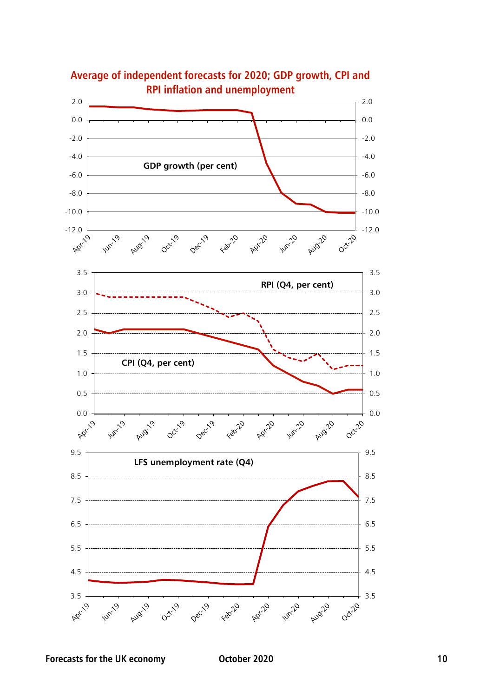

**Average of independent forecasts for 2020; GDP growth, CPI and**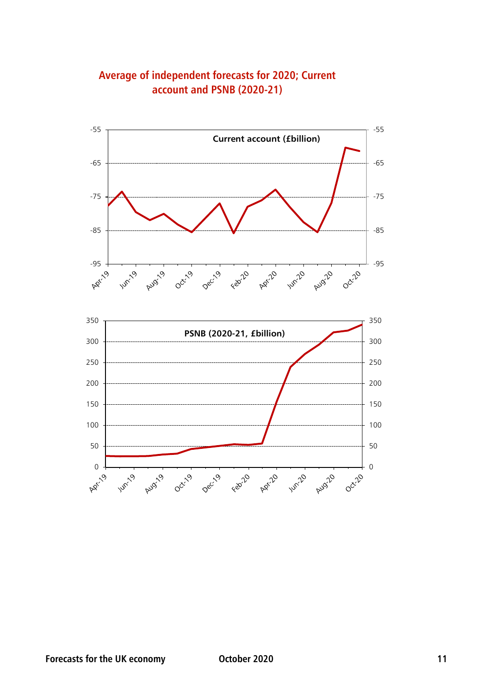

**Average of independent forecasts for 2020; Current account and PSNB (2020-21)**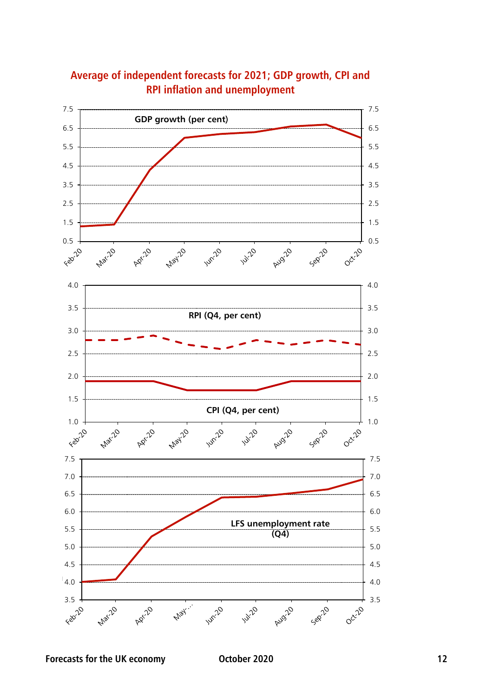

### **Average of independent forecasts for 2021; GDP growth, CPI and RPI inflation and unemployment**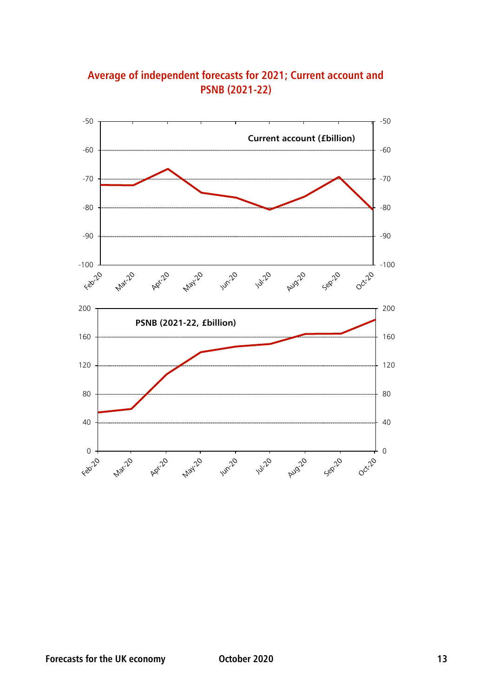

**Average of independent forecasts for 2021; Current account and PSNB (2021-22)**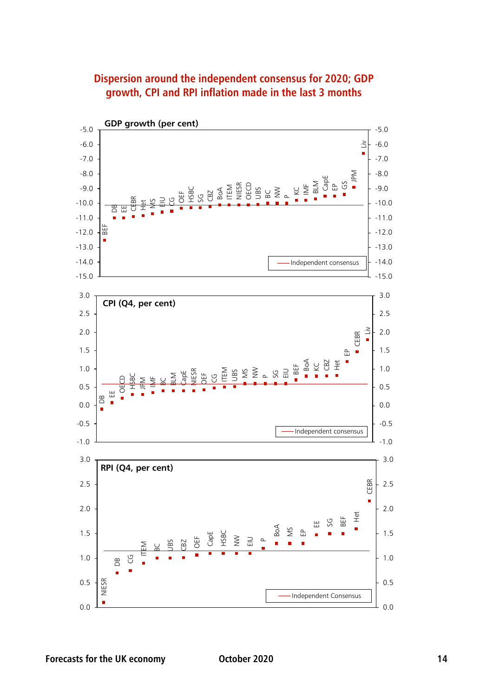

## **Dispersion around the independent consensus for 2020; GDP growth, CPI and RPI inflation made in the last 3 months**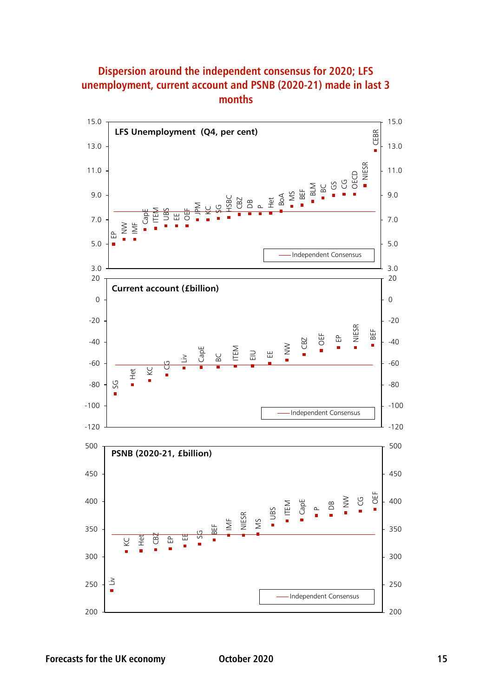

## **Dispersion around the independent consensus for 2020; LFS unemployment, current account and PSNB (2020-21) made in last 3 months**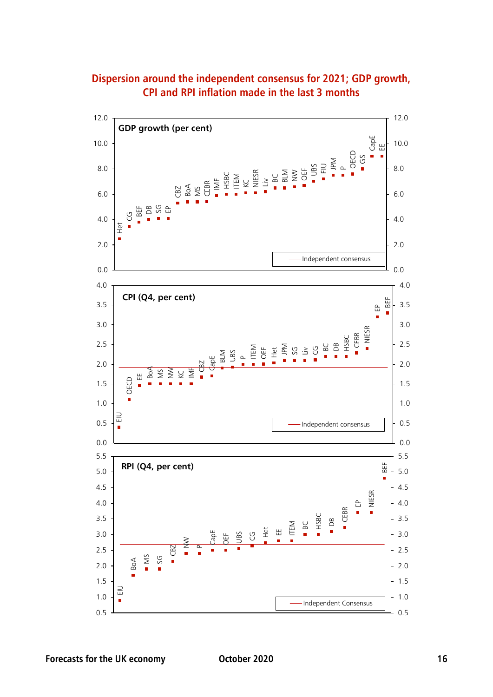

#### **Dispersion around the independent consensus for 2021; GDP growth, CPI and RPI inflation made in the last 3 months**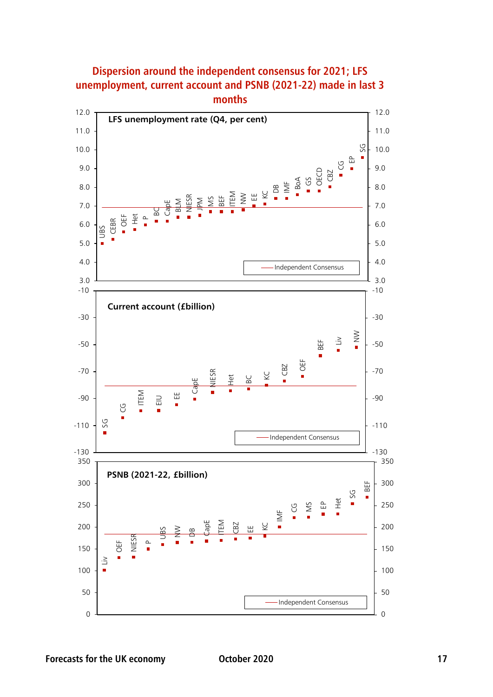

#### **Dispersion around the independent consensus for 2021; LFS unemployment, current account and PSNB (2021-22) made in last 3 months**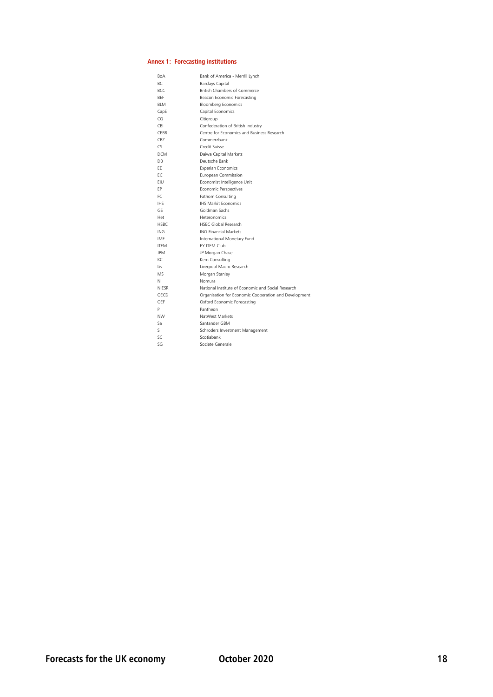#### **Annex 1: Forecasting institutions**

| BoA             | Bank of America - Merrill Lynch                       |
|-----------------|-------------------------------------------------------|
| ВC              | Barclays Capital                                      |
| <b>BCC</b>      | British Chambers of Commerce                          |
| <b>BFF</b>      | Beacon Economic Forecasting                           |
| <b>BIM</b>      | <b>Bloomberg Economics</b>                            |
| CapE            | Capital Economics                                     |
| CG              | Citigroup                                             |
| <b>CBI</b>      | Confederation of British Industry                     |
| <b>CFBR</b>     | Centre for Economics and Business Research            |
| C <sub>B7</sub> | Commerzbank                                           |
| CS              | Credit Suisse                                         |
| <b>DCM</b>      | Daiwa Capital Markets                                 |
| DB              | Deutsche Bank                                         |
| FF.             | <b>Experian Economics</b>                             |
| FC.             | European Commission                                   |
| FIU             | Economist Intelligence Unit                           |
| FP              | Economic Perspectives                                 |
| FC              | Fathom Consulting                                     |
| <b>IHS</b>      | <b>IHS Markit Fconomics</b>                           |
| GS.             | Goldman Sachs                                         |
| Het             | Heteronomics                                          |
| <b>HSBC</b>     | <b>HSBC Global Research</b>                           |
| <b>ING</b>      | <b>ING Financial Markets</b>                          |
| IMF             | International Monetary Fund                           |
| <b>ITFM</b>     | FY ITFM Club                                          |
| <b>JPM</b>      | JP Morgan Chase                                       |
| KC.             | Kern Consulting                                       |
| l iv            | Liverpool Macro Research                              |
| <b>MS</b>       | Morgan Stanley                                        |
| N               | Nomura                                                |
| <b>NIFSR</b>    | National Institute of Economic and Social Research    |
| OECD            | Organisation for Economic Cooperation and Development |
| OFF             | Oxford Economic Forecasting                           |
| P               | Pantheon                                              |
| <b>NW</b>       | NatWest Markets                                       |
| Sa              | Santander GBM                                         |
| Š.              | Schroders Investment Management                       |
| SC              | Scotiabank                                            |
| SG              | Societe Generale                                      |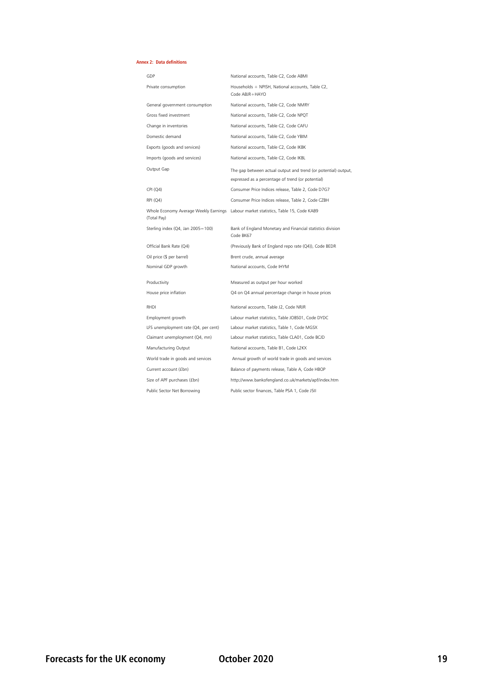#### **Annex 2: Data definitions**

| GDP                               | National accounts, Table C2, Code ABMI                                                                              |
|-----------------------------------|---------------------------------------------------------------------------------------------------------------------|
| Private consumption               | Households + NPISH, National accounts, Table C2,<br>Code ABIR+HAYO                                                  |
| General government consumption    | National accounts, Table C2, Code NMRY                                                                              |
| Gross fixed investment            | National accounts, Table C2, Code NPQT                                                                              |
| Change in inventories             | National accounts, Table C2, Code CAFU                                                                              |
| Domestic demand                   | National accounts, Table C2, Code YBIM                                                                              |
| Exports (goods and services)      | National accounts, Table C2, Code IKBK                                                                              |
| Imports (goods and services)      | National accounts, Table C2, Code IKBL                                                                              |
| Output Gap                        | The gap between actual output and trend (or potential) output,<br>expressed as a percentage of trend (or potential) |
| CPI (Q4)                          | Consumer Price Indices release, Table 2, Code D7G7                                                                  |
| <b>RPI</b> (Q4)                   | Consumer Price Indices release, Table 2, Code CZBH                                                                  |
| (Total Pay)                       | Whole Economy Average Weekly Earnings Labour market statistics, Table 15, Code KAB9                                 |
| Sterling index (Q4, Jan 2005=100) | Bank of England Monetary and Financial statistics division<br>Code BK67                                             |
| Official Bank Rate (Q4)           | (Previously Bank of England repo rate (Q4)), Code BEDR                                                              |
| Oil price (\$ per barrel)         | Brent crude, annual average                                                                                         |
| Nominal GDP growth                | National accounts, Code IHYM                                                                                        |
| Productivity                      | Measured as output per hour worked                                                                                  |
| House price inflation             | Q4 on Q4 annual percentage change in house prices                                                                   |
| RHDI                              | National accounts, Table J2, Code NRJR                                                                              |

Manufacturing Output National accounts, Table B1, Code L2KX

## LFS unemployment rate (Q4, per cent) Labour market statistics, Table 1, Code MGSX Employment growth Labour market statistics, Table JOBS01, Code DYDC Claimant unemployment (Q4, mn) Labour market statistics, Table CLA01, Code BCJD World trade in goods and services Annual growth of world trade in goods and services Current account (£bn) Balance of payments release, Table A, Code HBOP

Size of APF purchases (£bn) [http://www.ba](http://www.bankofengland.co.uk/markets/apf/index.htm)nkofengland.co.uk/markets/apf/index.htm Public Sector Net Borrowing Public sector finances, Table PSA 1, Code J5II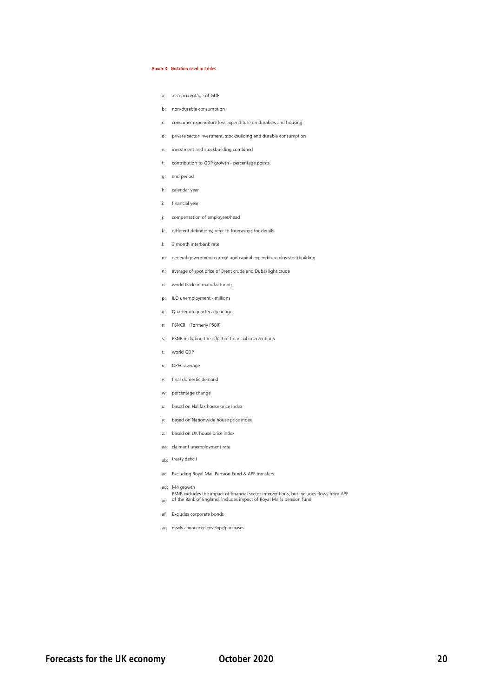#### **Annex 3: Notation used in tables**

- a: as a percentage of GDP
- b: non-durable consumption
- c: consumer expenditure less expenditure on durables and housing
- d: private sector investment, stockbuilding and durable consumption
- e: investment and stockbuilding combined
- f: contribution to GDP growth percentage points
- g: end period
- h: calendar year
- i: financial year
- j: compensation of employees/head
- k: different definitions; refer to forecasters for details
- l: 3 month interbank rate
- m: general government current and capital expenditure plus stockbuilding
- n: average of spot price of Brent crude and Dubai light crude
- o: world trade in manufacturing
- p: ILO unemployment millions
- q: Quarter on quarter a year ago
- r: PSNCR (Formerly PSBR)
- s: PSNB including the effect of financial interventions
- t: world GDP
- u: OPEC average
- v: final domestic demand
- w: percentage change
- x: based on Halifax house price index
- y: based on Nationwide house price index
- z: based on UK house price index
- aa: claimant unemployment rate
- ab: treaty deficit
- ac: Excluding Royal Mail Pension Fund & APF transfers
- ad: M4 growth
- ae of the Bank of England. Includes impact of Royal Mail's pension fund PSNB excludes the impact of financial sector interventions, but includes flows from APF
- af Excludes corporate bonds
- ag newly announced envelope/purchases